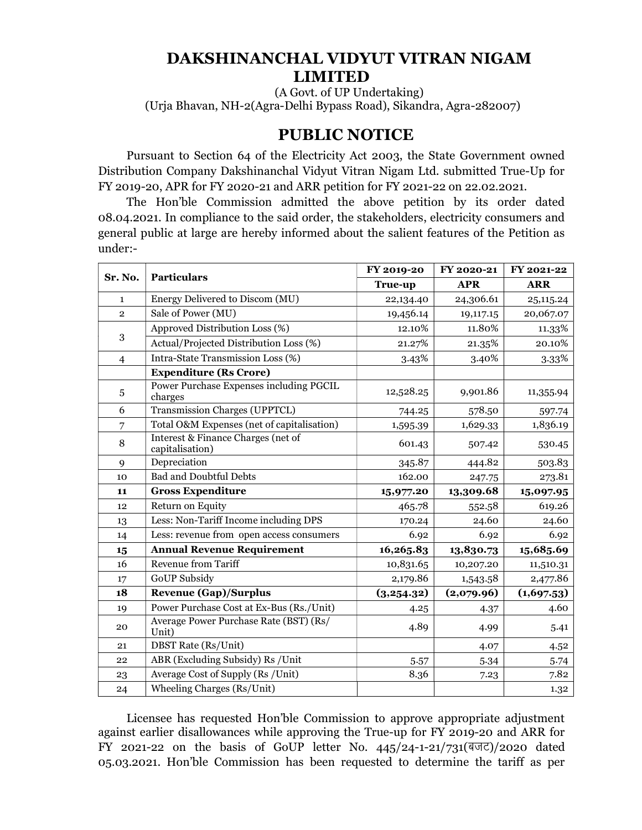# DAKSHINANCHAL VIDYUT VITRAN NIGAM LIMITED

(A Govt. of UP Undertaking) (Urja Bhavan, NH-2(Agra-Delhi Bypass Road), Sikandra, Agra-282007)

# PUBLIC NOTICE

Pursuant to Section 64 of the Electricity Act 2003, the State Government owned Distribution Company Dakshinanchal Vidyut Vitran Nigam Ltd. submitted True-Up for FY 2019-20, APR for FY 2020-21 and ARR petition for FY 2021-22 on 22.02.2021.

The Hon'ble Commission admitted the above petition by its order dated 08.04.2021. In compliance to the said order, the stakeholders, electricity consumers and general public at large are hereby informed about the salient features of the Petition as under:-

| Sr. No.        | <b>Particulars</b>                                    | FY 2019-20 | FY 2020-21 | FY 2021-22 |
|----------------|-------------------------------------------------------|------------|------------|------------|
|                |                                                       | True-up    | <b>APR</b> | <b>ARR</b> |
| $\mathbf{1}$   | Energy Delivered to Discom (MU)                       | 22,134.40  | 24,306.61  | 25,115.24  |
| $\overline{2}$ | Sale of Power (MU)                                    | 19,456.14  | 19,117.15  | 20,067.07  |
| 3              | Approved Distribution Loss (%)                        | 12.10%     | 11.80%     | 11.33%     |
|                | Actual/Projected Distribution Loss (%)                | 21.27%     | 21.35%     | 20.10%     |
| $\overline{4}$ | Intra-State Transmission Loss (%)                     | 3.43%      | 3.40%      | 3.33%      |
|                | <b>Expenditure (Rs Crore)</b>                         |            |            |            |
| 5              | Power Purchase Expenses including PGCIL<br>charges    | 12,528.25  | 9,901.86   | 11,355.94  |
| 6              | Transmission Charges (UPPTCL)                         | 744.25     | 578.50     | 597.74     |
| $\overline{7}$ | Total O&M Expenses (net of capitalisation)            | 1,595.39   | 1,629.33   | 1,836.19   |
| 8              | Interest & Finance Charges (net of<br>capitalisation) | 601.43     | 507.42     | 530.45     |
| 9              | Depreciation                                          | 345.87     | 444.82     | 503.83     |
| 10             | <b>Bad and Doubtful Debts</b>                         | 162.00     | 247.75     | 273.81     |
| 11             | <b>Gross Expenditure</b>                              | 15,977.20  | 13,309.68  | 15,097.95  |
| 12             | Return on Equity                                      | 465.78     | 552.58     | 619.26     |
| 13             | Less: Non-Tariff Income including DPS                 | 170.24     | 24.60      | 24.60      |
| 14             | Less: revenue from open access consumers              | 6.92       | 6.92       | 6.92       |
| 15             | <b>Annual Revenue Requirement</b>                     | 16,265.83  | 13,830.73  | 15,685.69  |
| 16             | <b>Revenue from Tariff</b>                            | 10,831.65  | 10,207.20  | 11,510.31  |
| 17             | <b>GoUP Subsidy</b>                                   | 2,179.86   | 1,543.58   | 2,477.86   |
| 18             | <b>Revenue (Gap)/Surplus</b>                          | (3,254.32) | (2,079.96) | (1,697.53) |
| 19             | Power Purchase Cost at Ex-Bus (Rs./Unit)              | 4.25       | 4.37       | 4.60       |
| 20             | Average Power Purchase Rate (BST) (Rs/<br>Unit)       | 4.89       | 4.99       | 5.41       |
| 21             | <b>DBST</b> Rate (Rs/Unit)                            |            | 4.07       | 4.52       |
| 22             | ABR (Excluding Subsidy) Rs / Unit                     | 5.57       | 5.34       | 5.74       |
| 23             | Average Cost of Supply (Rs /Unit)                     | 8.36       | 7.23       | 7.82       |
| 24             | Wheeling Charges (Rs/Unit)                            |            |            | 1.32       |

Licensee has requested Hon'ble Commission to approve appropriate adjustment against earlier disallowances while approving the True-up for FY 2019-20 and ARR for FY 2021-22 on the basis of GoUP letter No.  $445/24$ -1-21/731(बजट)/2020 dated 05.03.2021. Hon'ble Commission has been requested to determine the tariff as per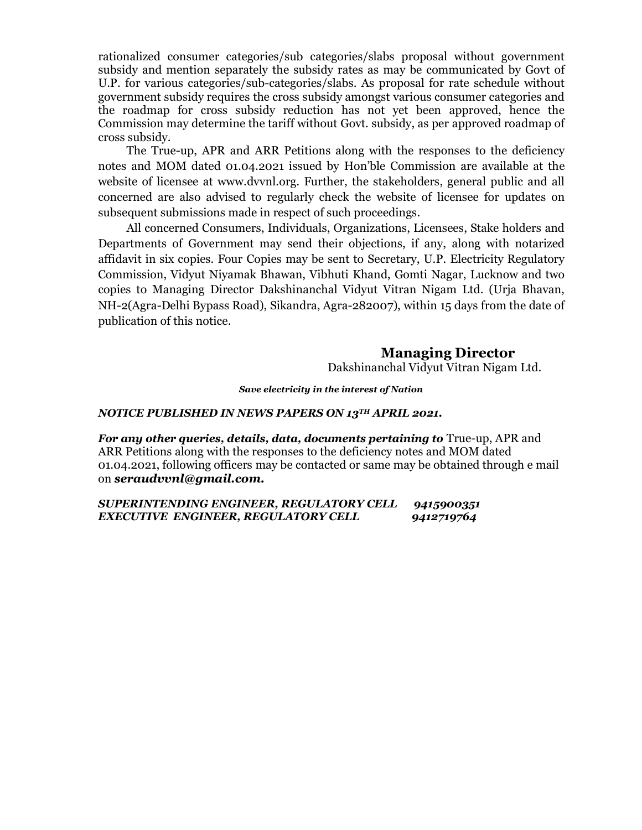rationalized consumer categories/sub categories/slabs proposal without government subsidy and mention separately the subsidy rates as may be communicated by Govt of U.P. for various categories/sub-categories/slabs. As proposal for rate schedule without government subsidy requires the cross subsidy amongst various consumer categories and the roadmap for cross subsidy reduction has not yet been approved, hence the Commission may determine the tariff without Govt. subsidy, as per approved roadmap of cross subsidy.

The True-up, APR and ARR Petitions along with the responses to the deficiency notes and MOM dated 01.04.2021 issued by Hon'ble Commission are available at the website of licensee at www.dvvnl.org. Further, the stakeholders, general public and all concerned are also advised to regularly check the website of licensee for updates on subsequent submissions made in respect of such proceedings.

All concerned Consumers, Individuals, Organizations, Licensees, Stake holders and Departments of Government may send their objections, if any, along with notarized affidavit in six copies. Four Copies may be sent to Secretary, U.P. Electricity Regulatory Commission, Vidyut Niyamak Bhawan, Vibhuti Khand, Gomti Nagar, Lucknow and two copies to Managing Director Dakshinanchal Vidyut Vitran Nigam Ltd. (Urja Bhavan, NH-2(Agra-Delhi Bypass Road), Sikandra, Agra-282007), within 15 days from the date of publication of this notice.

# Managing Director

Dakshinanchal Vidyut Vitran Nigam Ltd.

Save electricity in the interest of Nation

#### NOTICE PUBLISHED IN NEWS PAPERS ON 13TH APRIL 2021.

For any other queries, details, data, documents pertaining to True-up, APR and ARR Petitions along with the responses to the deficiency notes and MOM dated 01.04.2021, following officers may be contacted or same may be obtained through e mail on seraudvvnl@gmail.com.

| SUPERINTENDING ENGINEER, REGULATORY CELL | 9415900351 |
|------------------------------------------|------------|
| EXECUTIVE ENGINEER, REGULATORY CELL      | 9412719764 |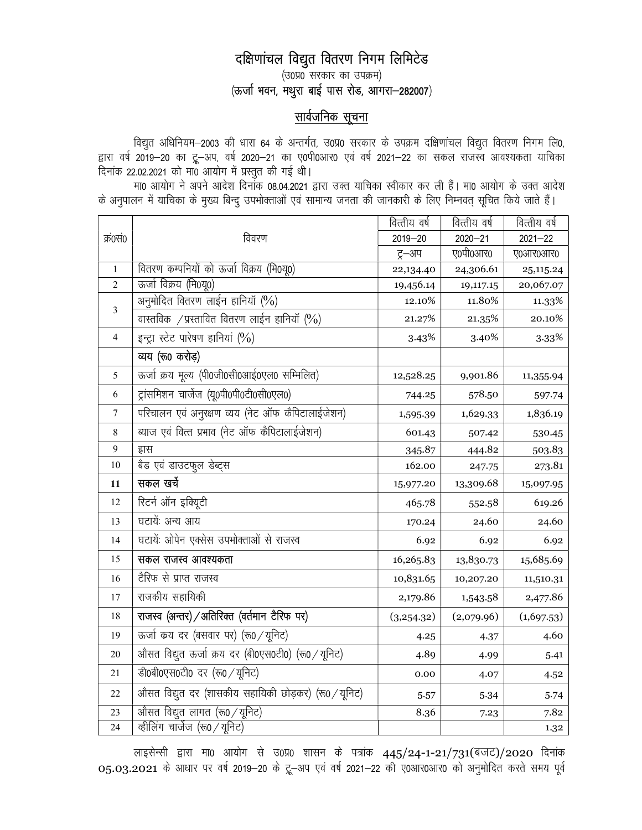# दक्षिणांचल विद्युत वितरण निगम लिमिटेड

 $(30\%$  सरकार का उपक्रम)  $(\overline{\text{w}}$ जी भवन, मथुरा बाई पास रोड, आगरा-282007)

# <u>सार्वजनिक सूचना</u>

विद्युत अधिनियम—2003 की धारा 64 के अन्तर्गत, उ0प्र0 सरकार के उपक्रम दक्षिणांचल विद्युत वितरण निगम लि0, द्वारा वर्ष 2019—20 का ट्रू—अप, वर्ष 2020—21 का ए0पी0आर0 एवं वर्ष 2021—22 का सकल राजस्व आवश्यकता याचिका दिनांक 22.02.2021 को मा0 आयोग में प्रस्तुत की गई थी।

मा0 आयोग ने अपने आदेश दिनॉक 08.04.2021 द्वारा उक्त याचिका स्वीकार कर ली हैं। मा0 आयोग के उक्त आदेश के अनुपालन में याचिका के मुख्य बिन्दु उपभोक्ताओं एवं सामान्य जनता की जानकारी के लिए निम्नवत् सूचित किये जाते हैं।

|              |                                                                  | वित्तीय वर्ष | वित्तीय वर्ष | वित्तीय वर्ष |
|--------------|------------------------------------------------------------------|--------------|--------------|--------------|
| क्र0सं0      | विवरण                                                            | $2019 - 20$  | $2020 - 21$  | $2021 - 22$  |
|              |                                                                  | ट्र–अप       | ए०पी०आर०     | ए०आर०आर०     |
| $\mathbf{1}$ | वितरण कम्पनियों को ऊर्जा विक्रय (मि0यू0)                         | 22,134.40    | 24,306.61    | 25, 115. 24  |
| 2            | ऊर्जा विक्रय (मि0यू0)                                            | 19,456.14    | 19,117.15    | 20,067.07    |
| 3            | अनुमोदित वितरण लाईन हानियॉ (%)                                   | 12.10%       | 11.80%       | 11.33%       |
|              | वास्तविक / प्रस्तावित वितरण लाईन हानियाँ (%)                     | 21.27%       | 21.35%       | 20.10%       |
| 4            | इन्ट्रा स्टेट पारेषण हानियां (%)                                 | 3.43%        | 3.40%        | 3.33%        |
|              | व्यय (रू0 करोड़)                                                 |              |              |              |
| 5            | ऊर्जा क्रय मूल्य (पी0जी0सी0आई0एल0 सम्मिलित)                      | 12,528.25    | 9,901.86     | 11,355.94    |
| 6            | ट्रांसमिशन चार्जेज (यू०पी०पी०टी०सी०एल०)                          | 744.25       | 578.50       | 597.74       |
| $\tau$       | परिचालन एवं अनुरक्षण व्यय (नेट ऑफ कैपिटालाईजेशन)                 | 1,595.39     | 1,629.33     | 1,836.19     |
| 8            | ब्याज एवं वित्त प्रभाव (नेट ऑफ कैपिटालाईजेशन)                    | 601.43       | 507.42       | 530.45       |
| 9            | ह्रास                                                            | 345.87       | 444.82       | 503.83       |
| 10           | बैड एवं डाउटफुल डेब्ट्स                                          | 162.00       | 247.75       | 273.81       |
|              | सकल खर्चे                                                        |              |              |              |
| 11           |                                                                  | 15,977.20    | 13,309.68    | 15,097.95    |
| 12           | रिटर्न ऑन इक्यूिटी                                               | 465.78       | 552.58       | 619.26       |
| 13           | घटायें: अन्य आय                                                  | 170.24       | 24.60        | 24.60        |
| 14           | घटायेंः ओपेन एक्सेस उपभोक्ताओं से राजस्व                         | 6.92         | 6.92         | 6.92         |
| 15           | सकल राजस्व आवश्यकता                                              | 16,265.83    | 13,830.73    | 15,685.69    |
| 16           | टैरिफ से प्राप्त राजस्व                                          | 10,831.65    | 10,207.20    | 11,510.31    |
| 17           | राजकीय सहायिकी                                                   | 2,179.86     | 1,543.58     | 2,477.86     |
| 18           | राजस्व (अन्तर) / अतिरिक्त (वर्तमान टैरिफ पर)                     | (3,254.32)   | (2,079.96)   | (1,697.53)   |
| 19           | ऊर्जा कय दर (बसवार पर) (रू0 / यूनिट)                             | 4.25         | 4.37         | 4.60         |
| 20           | ओसत विद्युत ऊर्जा क्रय दर (बी0एस0टी0) (रू0 / यूनिट)              | 4.89         | 4.99         | 5.41         |
| 21           | डी0बी0एस0टी0 दर (रू0 / यूनिट)                                    | 0.00         | 4.07         | 4.52         |
| 22           | ओसत विद्युत दर (शासकीय सहायिकी छोड़कर) (रू0 / यूनिट)             | 5.57         | 5.34         | 5.74         |
| 23           | ओसत विद्युत लागत (रू0 / यूनिट)<br>क्तीलिंग चार्जेज (रू0 / यूनिट) | 8.36         | 7.23         | 7.82         |

लाइसेन्सी द्वारा मा0 आयोग से उ0प्र0 शासन के पत्रांक 445/24-1-21/731(बजट)/2020 दिनांक  $05.03.2021$  के आधार पर वर्ष 2019-20 के ट्रू-अप एवं वर्ष 2021-22 की ए0आर0आर0 को अनुमोदित करते समय पूर्व